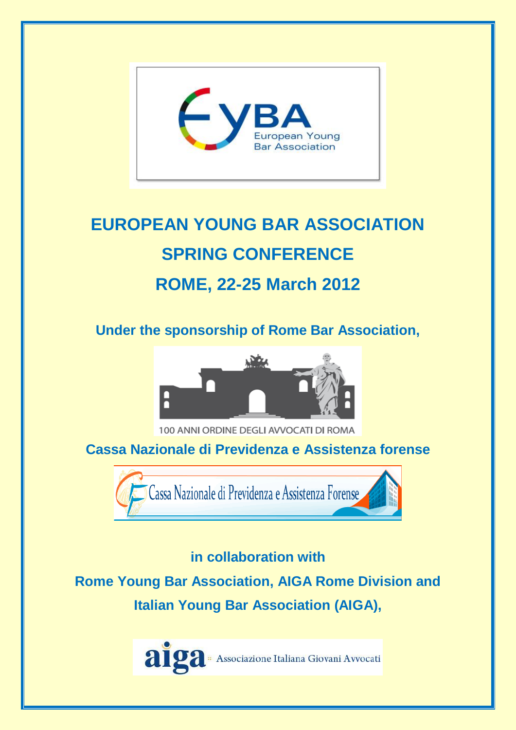

# **EUROPEAN YOUNG BAR ASSOCIATION SPRING CONFERENCE ROME, 22-25 March 2012**

**Under the sponsorship of Rome Bar Association,**



100 ANNI ORDINE DEGLI AVVOCATI DI ROMA

**Cassa Nazionale di Previdenza e Assistenza forense**



### **in collaboration with**

**Rome Young Bar Association, AIGA Rome Division and Italian Young Bar Association (AIGA),**

alga - Associazione Italiana Giovani Avvocati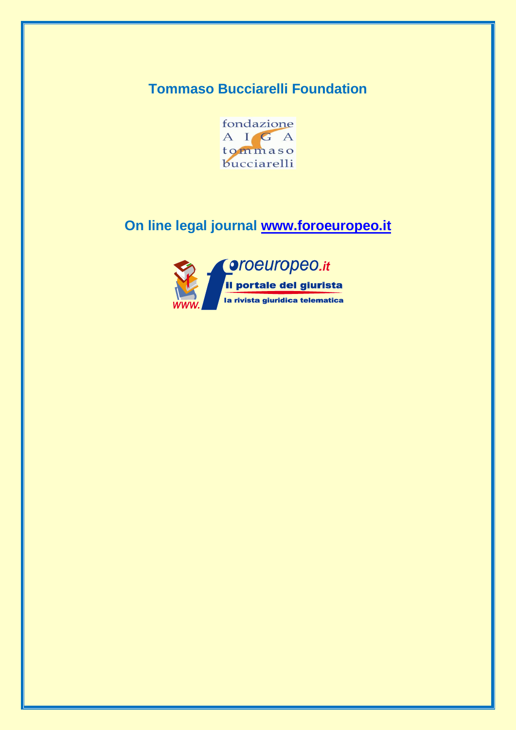## **Tommaso Bucciarelli Foundation**



## **On line legal journal [www.foroeuropeo.it](http://www.foroeuropeo.it/)**

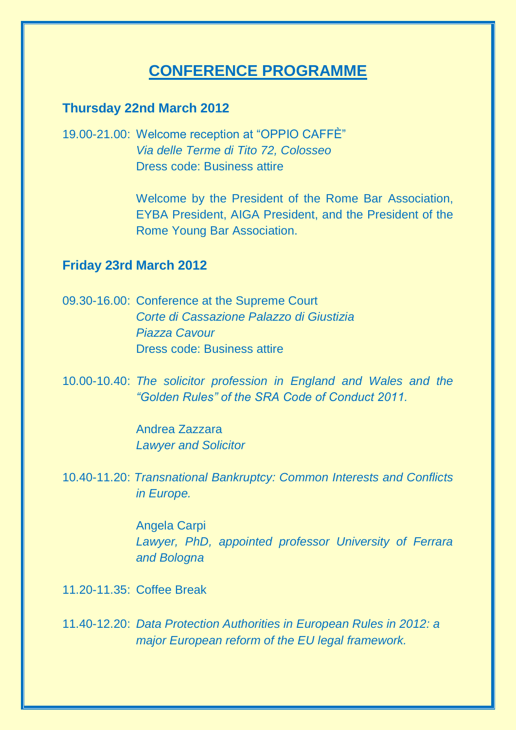## **CONFERENCE PROGRAMME**

#### **Thursday 22nd March 2012**

19.00-21.00: Welcome reception at "OPPIO CAFFÈ" *Via delle Terme di Tito 72, Colosseo* Dress code: Business attire

> Welcome by the President of the Rome Bar Association, EYBA President, AIGA President, and the President of the Rome Young Bar Association.

#### **Friday 23rd March 2012**

09.30-16.00: Conference at the Supreme Court *Corte di Cassazione Palazzo di Giustizia Piazza Cavour* Dress code: Business attire

10.00-10.40: *The solicitor profession in England and Wales and the "Golden Rules" of the SRA Code of Conduct 2011.*

> Andrea Zazzara *Lawyer and Solicitor*

10.40-11.20: *Transnational Bankruptcy: Common Interests and Conflicts in Europe.*

> Angela Carpi *Lawyer, PhD, appointed professor University of Ferrara and Bologna*

11.20-11.35: Coffee Break

11.40-12.20: *Data Protection Authorities in European Rules in 2012: a major European reform of the EU legal framework.*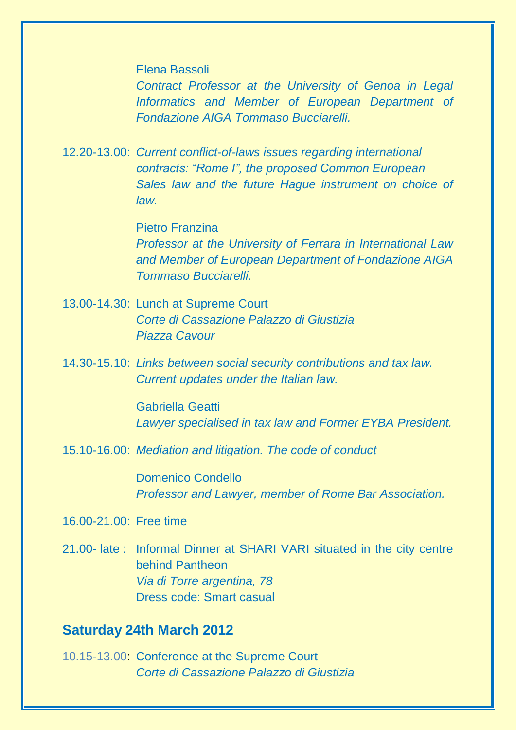Elena Bassoli

*Contract Professor at the University of Genoa in Legal Informatics and Member of European Department of Fondazione AIGA Tommaso Bucciarelli.*

12.20-13.00: *Current conflict-of-laws issues regarding international contracts: "Rome I", the proposed Common European Sales law and the future Hague instrument on choice of law.*

> Pietro Franzina *Professor at the University of Ferrara in International Law and Member of European Department of Fondazione AIGA Tommaso Bucciarelli.*

- 13.00-14.30: Lunch at Supreme Court *Corte di Cassazione Palazzo di Giustizia Piazza Cavour*
- 14.30-15.10: *Links between social security contributions and tax law. Current updates under the Italian law.*

Gabriella Geatti *Lawyer specialised in tax law and Former EYBA President.*

15.10-16.00: *Mediation and litigation. The code of conduct*

Domenico Condello *Professor and Lawyer, member of Rome Bar Association.*

- 16.00-21.00: Free time
- 21.00- late : Informal Dinner at SHARI VARI situated in the city centre behind Pantheon *Via di Torre argentina, 78* Dress code: Smart casual

#### **Saturday 24th March 2012**

10.15-13.00: Conference at the Supreme Court *Corte di Cassazione Palazzo di Giustizia*